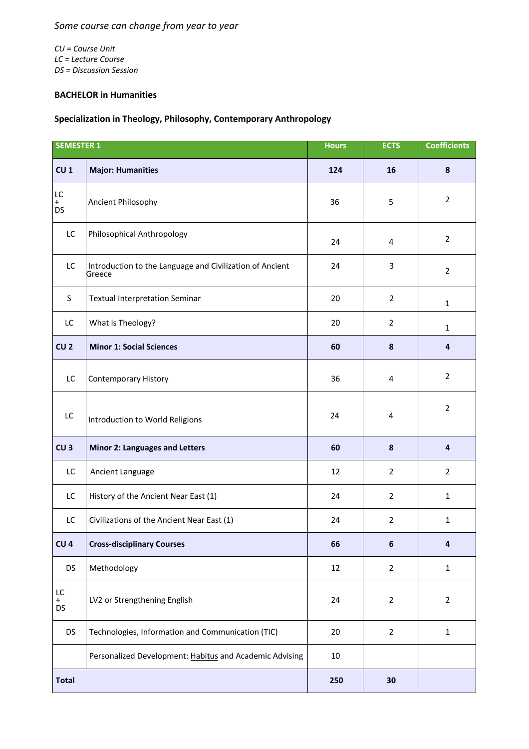*CU = Course Unit LC = Lecture Course DS = Discussion Session*

## **BACHELOR in Humanities**

## **Specialization in Theology, Philosophy, Contemporary Anthropology**

| <b>SEMESTER 1</b> |                                                                    | <b>Hours</b> | <b>ECTS</b>    | <b>Coefficients</b> |
|-------------------|--------------------------------------------------------------------|--------------|----------------|---------------------|
| CU <sub>1</sub>   | <b>Major: Humanities</b>                                           | 124          | 16             | 8                   |
| LC<br>$+$<br>DS   | Ancient Philosophy                                                 | 36           | 5              | $\overline{2}$      |
| LC                | Philosophical Anthropology                                         | 24           | 4              | $\overline{2}$      |
| LC                | Introduction to the Language and Civilization of Ancient<br>Greece | 24           | 3              | $\overline{2}$      |
| S                 | <b>Textual Interpretation Seminar</b>                              | 20           | $\overline{2}$ | $\mathbf{1}$        |
| LC                | What is Theology?                                                  | 20           | $\overline{2}$ | $\mathbf{1}$        |
| CU <sub>2</sub>   | <b>Minor 1: Social Sciences</b>                                    | 60           | 8              | $\overline{4}$      |
| LC                | <b>Contemporary History</b>                                        | 36           | 4              | $\overline{2}$      |
| LC                | Introduction to World Religions                                    | 24           | 4              | $\overline{2}$      |
| CU <sub>3</sub>   | <b>Minor 2: Languages and Letters</b>                              | 60           | $\pmb{8}$      | $\overline{4}$      |
| LC                | Ancient Language                                                   | 12           | $\overline{2}$ | $\overline{2}$      |
| LC                | History of the Ancient Near East (1)                               | 24           | $\overline{2}$ | $\mathbf{1}$        |
| LC                | Civilizations of the Ancient Near East (1)                         | 24           | $\overline{2}$ | $\mathbf{1}$        |
| CU <sub>4</sub>   | <b>Cross-disciplinary Courses</b>                                  | 66           | 6              | $\boldsymbol{4}$    |
| <b>DS</b>         | Methodology                                                        | 12           | $\overline{2}$ | $\mathbf 1$         |
| LC<br>$+$<br>DS   | LV2 or Strengthening English                                       | 24           | $\overline{2}$ | $\overline{2}$      |
| DS                | Technologies, Information and Communication (TIC)                  | 20           | $\overline{2}$ | $\mathbf 1$         |
|                   | Personalized Development: Habitus and Academic Advising            | $10\,$       |                |                     |
| <b>Total</b>      |                                                                    | 250          | 30             |                     |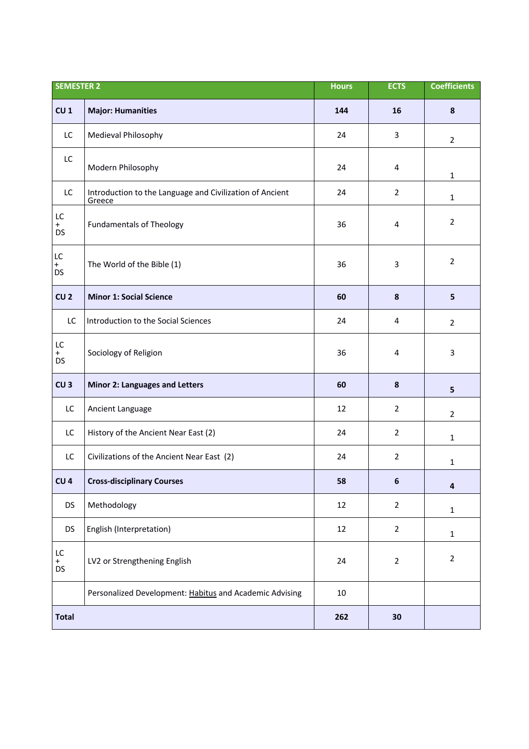| <b>SEMESTER 2</b>         |                                                                    | <b>Hours</b> | <b>ECTS</b>    | <b>Coefficients</b>     |
|---------------------------|--------------------------------------------------------------------|--------------|----------------|-------------------------|
| CU <sub>1</sub>           | <b>Major: Humanities</b>                                           | 144          | 16             | 8                       |
| LC                        | Medieval Philosophy                                                | 24           | 3              | $\overline{2}$          |
| LC                        | Modern Philosophy                                                  | 24           | 4              | 1                       |
| LC                        | Introduction to the Language and Civilization of Ancient<br>Greece | 24           | $\overline{2}$ | $\mathbf{1}$            |
| LC<br>$+$<br><b>DS</b>    | <b>Fundamentals of Theology</b>                                    | 36           | 4              | $\overline{2}$          |
| LC<br>$^{+}$<br><b>DS</b> | The World of the Bible (1)                                         | 36           | 3              | $\overline{2}$          |
| CU <sub>2</sub>           | <b>Minor 1: Social Science</b>                                     | 60           | 8              | 5                       |
| LC                        | Introduction to the Social Sciences                                | 24           | 4              | $\overline{2}$          |
| LC<br>$+$<br><b>DS</b>    | Sociology of Religion                                              | 36           | 4              | 3                       |
| CU <sub>3</sub>           | <b>Minor 2: Languages and Letters</b>                              | 60           | $\pmb{8}$      | 5                       |
| LC                        | Ancient Language                                                   | 12           | $\overline{2}$ | $\overline{2}$          |
| LC                        | History of the Ancient Near East (2)                               | 24           | $\overline{2}$ | $\mathbf{1}$            |
| LC                        | Civilizations of the Ancient Near East (2)                         | 24           | $\overline{2}$ | $\mathbf{1}$            |
| CU <sub>4</sub>           | <b>Cross-disciplinary Courses</b>                                  | 58           | 6              | $\overline{\mathbf{4}}$ |
| <b>DS</b>                 | Methodology                                                        | 12           | $\overline{2}$ | $\mathbf{1}$            |
| <b>DS</b>                 | English (Interpretation)                                           | 12           | $\overline{2}$ | $\mathbf{1}$            |
| LC<br>$+$<br>DS           | LV2 or Strengthening English                                       | 24           | $\overline{2}$ | $\overline{2}$          |
|                           | Personalized Development: Habitus and Academic Advising            | 10           |                |                         |
| <b>Total</b>              |                                                                    | 262          | 30             |                         |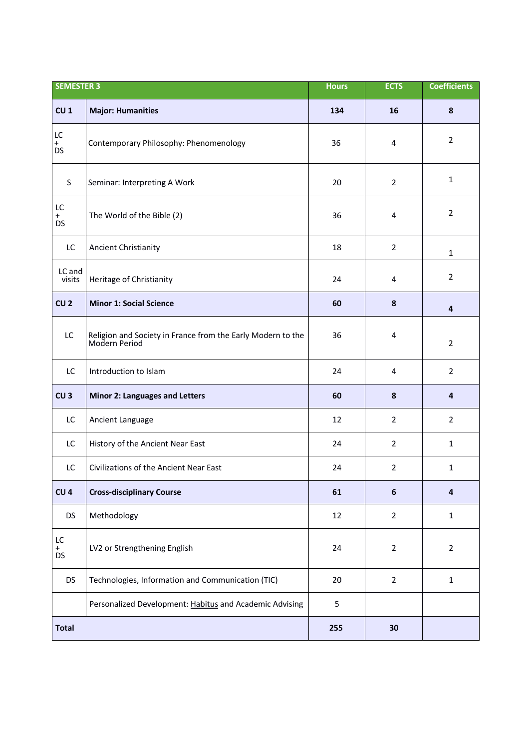| <b>SEMESTER 3</b>      |                                                                              | <b>Hours</b> | <b>ECTS</b>      | <b>Coefficients</b> |
|------------------------|------------------------------------------------------------------------------|--------------|------------------|---------------------|
| CU <sub>1</sub>        | <b>Major: Humanities</b>                                                     | 134          | 16               | 8                   |
| LC<br>$+$<br><b>DS</b> | Contemporary Philosophy: Phenomenology                                       | 36           | 4                | $\overline{2}$      |
| S                      | Seminar: Interpreting A Work                                                 | 20           | $\overline{2}$   | $\mathbf{1}$        |
| LC<br>$+$<br><b>DS</b> | The World of the Bible (2)                                                   | 36           | 4                | $\overline{2}$      |
| LC                     | <b>Ancient Christianity</b>                                                  | 18           | $\overline{2}$   | $\mathbf{1}$        |
| LC and<br>visits       | Heritage of Christianity                                                     | 24           | 4                | $\overline{2}$      |
| CU <sub>2</sub>        | <b>Minor 1: Social Science</b>                                               | 60           | 8                | 4                   |
| LC                     | Religion and Society in France from the Early Modern to the<br>Modern Period | 36           | 4                | $\overline{2}$      |
| LC                     | Introduction to Islam                                                        | 24           | $\overline{4}$   | $\overline{2}$      |
| CU <sub>3</sub>        | <b>Minor 2: Languages and Letters</b>                                        | 60           | $\pmb{8}$        | $\overline{4}$      |
| LC                     | Ancient Language                                                             | 12           | $\overline{2}$   | $\overline{2}$      |
| LC                     | History of the Ancient Near East                                             | 24           | $\overline{2}$   | $\mathbf{1}$        |
| LC                     | Civilizations of the Ancient Near East                                       | 24           | $\overline{2}$   | $\mathbf{1}$        |
| CU <sub>4</sub>        | <b>Cross-disciplinary Course</b>                                             | 61           | $\boldsymbol{6}$ | $\overline{4}$      |
| <b>DS</b>              | Methodology                                                                  | 12           | $\overline{2}$   | $\mathbf{1}$        |
| LC<br>$_{DS}^+$        | LV2 or Strengthening English                                                 | 24           | $\overline{2}$   | $\overline{2}$      |
| DS                     | Technologies, Information and Communication (TIC)                            | 20           | $\overline{2}$   | $\mathbf{1}$        |
|                        | Personalized Development: Habitus and Academic Advising                      | 5            |                  |                     |
| <b>Total</b>           |                                                                              | 255          | 30               |                     |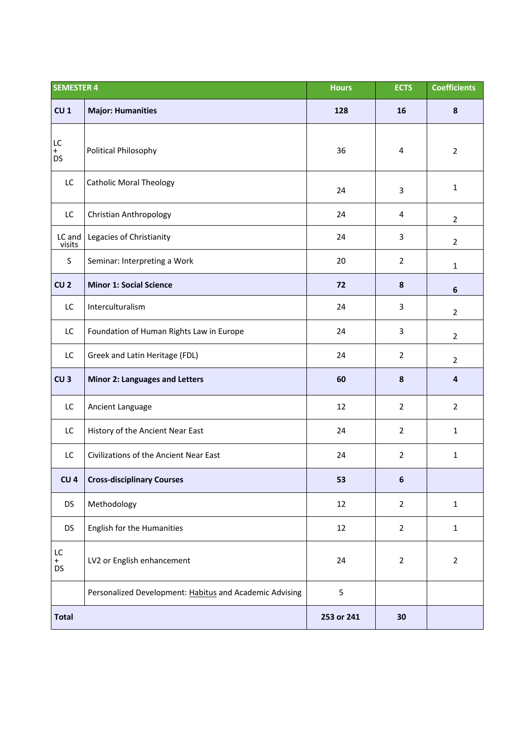| <b>SEMESTER 4</b>      |                                                         | <b>Hours</b> | <b>ECTS</b>    | <b>Coefficients</b> |
|------------------------|---------------------------------------------------------|--------------|----------------|---------------------|
| CU <sub>1</sub>        | <b>Major: Humanities</b>                                | 128          | 16             | $\pmb{8}$           |
| LC<br>$+$<br><b>DS</b> | Political Philosophy                                    | 36           | 4              | $\overline{2}$      |
| LC                     | <b>Catholic Moral Theology</b>                          | 24           | 3              | $\mathbf{1}$        |
| LC                     | Christian Anthropology                                  | 24           | 4              | $\overline{2}$      |
| LC and<br>visits       | Legacies of Christianity                                | 24           | 3              | $\overline{2}$      |
| $\sf S$                | Seminar: Interpreting a Work                            | 20           | $\overline{2}$ | $\mathbf{1}$        |
| CU <sub>2</sub>        | <b>Minor 1: Social Science</b>                          | 72           | 8              | 6                   |
| LC                     | Interculturalism                                        | 24           | 3              | $\overline{2}$      |
| LC                     | Foundation of Human Rights Law in Europe                | 24           | 3              | $\overline{2}$      |
| LC                     | Greek and Latin Heritage (FDL)                          | 24           | $\overline{2}$ | $\overline{2}$      |
| CU <sub>3</sub>        | <b>Minor 2: Languages and Letters</b>                   | 60           | 8              | 4                   |
| LC                     | Ancient Language                                        | 12           | $\overline{2}$ | $\overline{2}$      |
| LC                     | History of the Ancient Near East                        | 24           | $\overline{2}$ | $\mathbf{1}$        |
| LC                     | Civilizations of the Ancient Near East                  | 24           | $\overline{2}$ | $\mathbf{1}$        |
| CU <sub>4</sub>        | <b>Cross-disciplinary Courses</b>                       | 53           | $\bf 6$        |                     |
| <b>DS</b>              | Methodology                                             | 12           | $\overline{2}$ | $\mathbf{1}$        |
| <b>DS</b>              | English for the Humanities                              | 12           | $\overline{2}$ | $\mathbf{1}$        |
| LC<br>$_{DS}^+$        | LV2 or English enhancement                              | 24           | $\overline{2}$ | $\overline{2}$      |
|                        | Personalized Development: Habitus and Academic Advising | 5            |                |                     |
| <b>Total</b>           |                                                         | 253 or 241   | 30             |                     |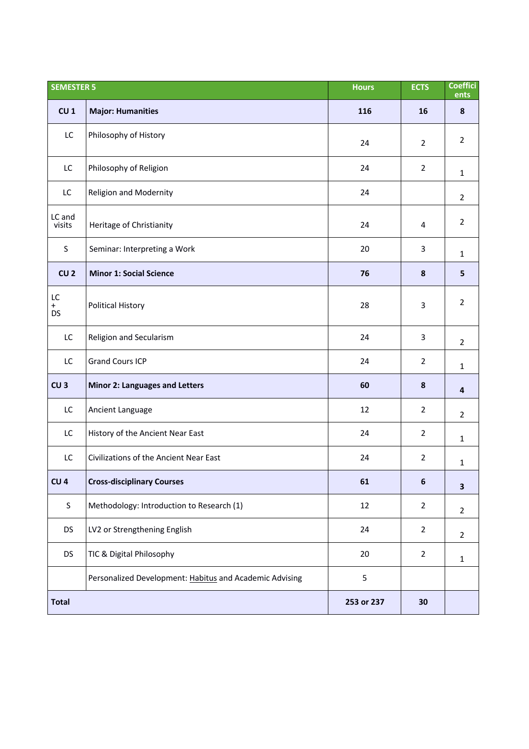| <b>SEMESTER 5</b>      |                                                         | <b>Hours</b> | <b>ECTS</b>      | <b>Coeffici</b><br>ents |
|------------------------|---------------------------------------------------------|--------------|------------------|-------------------------|
| CU <sub>1</sub>        | <b>Major: Humanities</b>                                | 116          | 16               | 8                       |
| LC                     | Philosophy of History                                   | 24           | $\overline{2}$   | $\overline{2}$          |
| LC                     | Philosophy of Religion                                  | 24           | $\overline{2}$   | $\mathbf{1}$            |
| LC                     | <b>Religion and Modernity</b>                           | 24           |                  | $\overline{2}$          |
| LC and<br>visits       | Heritage of Christianity                                | 24           | 4                | $\overline{2}$          |
| $\mathsf S$            | Seminar: Interpreting a Work                            | 20           | 3                | $\mathbf{1}$            |
| CU <sub>2</sub>        | <b>Minor 1: Social Science</b>                          | 76           | $\pmb{8}$        | 5                       |
| LC<br>$+$<br><b>DS</b> | <b>Political History</b>                                | 28           | $\overline{3}$   | $\overline{2}$          |
| LC                     | Religion and Secularism                                 | 24           | 3                | $\overline{2}$          |
| LC                     | <b>Grand Cours ICP</b>                                  | 24           | $\overline{2}$   | $\mathbf{1}$            |
| CU <sub>3</sub>        | <b>Minor 2: Languages and Letters</b>                   | 60           | ${\bf 8}$        | $\overline{4}$          |
| LC                     | Ancient Language                                        | 12           | $\overline{2}$   | $\overline{2}$          |
| LC                     | History of the Ancient Near East                        | 24           | $\overline{2}$   | $\mathbf{1}$            |
| LC                     | Civilizations of the Ancient Near East                  | 24           | $\overline{2}$   | $\mathbf{1}$            |
| CU <sub>4</sub>        | <b>Cross-disciplinary Courses</b>                       | 61           | $\boldsymbol{6}$ | $\overline{\mathbf{3}}$ |
| $\sf S$                | Methodology: Introduction to Research (1)               | 12           | $\overline{2}$   | $\overline{2}$          |
| DS                     | LV2 or Strengthening English                            | 24           | $\overline{2}$   | $\overline{2}$          |
| <b>DS</b>              | TIC & Digital Philosophy                                | 20           | $\overline{2}$   | $\mathbf{1}$            |
|                        | Personalized Development: Habitus and Academic Advising | 5            |                  |                         |
| <b>Total</b>           |                                                         | 253 or 237   | 30               |                         |